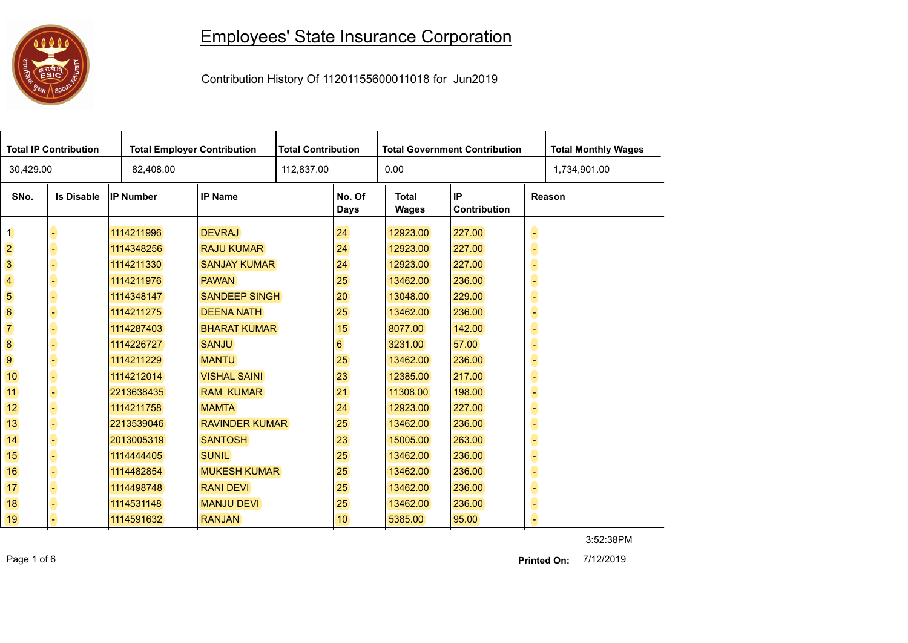## 

## Employees' State Insurance Corporation

Contribution History Of 11201155600011018 for Jun2019

| <b>Total IP Contribution</b>       |                   |                  | <b>Total Employer Contribution</b> |  | <b>Total Contribution</b> | <b>Total Government Contribution</b>                  |        |   | <b>Total Monthly Wages</b> |
|------------------------------------|-------------------|------------------|------------------------------------|--|---------------------------|-------------------------------------------------------|--------|---|----------------------------|
| 30,429.00                          |                   | 82,408.00        |                                    |  | 0.00<br>112,837.00        |                                                       |        |   | 1,734,901.00               |
| SNo.                               | <b>Is Disable</b> | <b>IP Number</b> | <b>IP Name</b>                     |  | No. Of<br>Days            | IP<br><b>Total</b><br>Reason<br>Contribution<br>Wages |        |   |                            |
| $\mathbf 1$                        |                   | 1114211996       | <b>DEVRAJ</b>                      |  | 24                        | 12923.00                                              | 227.00 | 0 |                            |
| $\overline{2}$                     |                   | 1114348256       | <b>RAJU KUMAR</b>                  |  | 24                        | 12923.00                                              | 227.00 | 6 |                            |
| 3                                  |                   | 1114211330       | <b>SANJAY KUMAR</b>                |  | 24                        | 12923.00                                              | 227.00 | G |                            |
| $\overline{\mathbf{4}}$            |                   | 1114211976       | <b>PAWAN</b>                       |  | 25                        | 13462.00                                              | 236.00 | 6 |                            |
| 5                                  |                   | 1114348147       | <b>SANDEEP SINGH</b>               |  | 20                        | 13048.00                                              | 229.00 | C |                            |
| $6\phantom{a}$                     |                   | 1114211275       | <b>DEENA NATH</b>                  |  | 25                        | 13462.00                                              | 236.00 | 6 |                            |
| $\begin{array}{c}\n7\n\end{array}$ |                   | 1114287403       | <b>BHARAT KUMAR</b>                |  | 15                        | 8077.00                                               | 142.00 | 6 |                            |
| 8                                  |                   | 1114226727       | <b>SANJU</b>                       |  | $6 \overline{6}$          | 3231.00                                               | 57.00  | 6 |                            |
| 9                                  |                   | 1114211229       | <b>MANTU</b>                       |  | 25                        | 13462.00                                              | 236.00 | 6 |                            |
| 10                                 |                   | 1114212014       | <b>VISHAL SAINI</b>                |  | 23                        | 12385.00                                              | 217.00 | 6 |                            |
| 11                                 |                   | 2213638435       | <b>RAM KUMAR</b>                   |  | 21                        | 11308.00                                              | 198.00 | G |                            |
| 12                                 |                   | 1114211758       | <b>MAMTA</b>                       |  | 24                        | 12923.00                                              | 227.00 | 6 |                            |
| 13                                 |                   | 2213539046       | <b>RAVINDER KUMAR</b>              |  | 25                        | 13462.00                                              | 236.00 | G |                            |
| 14                                 |                   | 2013005319       | <b>SANTOSH</b>                     |  | 23                        | 15005.00                                              | 263.00 | 6 |                            |
| 15                                 |                   | 1114444405       | <b>SUNIL</b>                       |  | 25                        | 13462.00                                              | 236.00 | 6 |                            |
| 16                                 |                   | 1114482854       | <b>MUKESH KUMAR</b>                |  | 25                        | 13462.00                                              | 236.00 | C |                            |
| 17 <sub>2</sub>                    |                   | 1114498748       | <b>RANI DEVI</b>                   |  | 25                        | 13462.00                                              | 236.00 | 8 |                            |
| 18                                 |                   | 1114531148       | <b>MANJU DEVI</b>                  |  | 25                        | 13462.00                                              | 236.00 | 6 |                            |
| 19                                 |                   | 1114591632       | <b>RANJAN</b>                      |  | 10                        | 5385.00                                               | 95.00  | e |                            |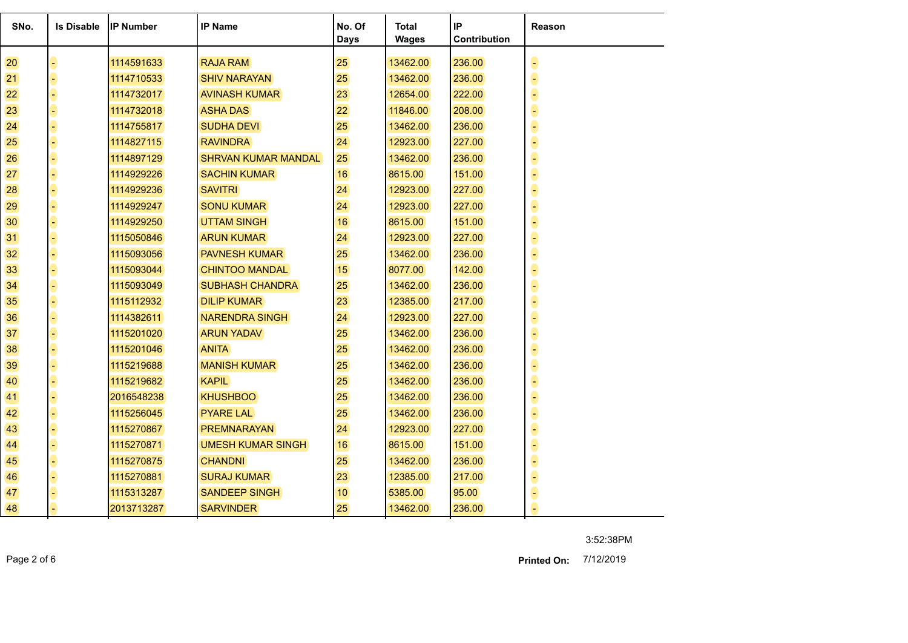| SNo. | <b>Is Disable</b> | <b>IP Number</b> | <b>IP Name</b>             | No. Of<br><b>Days</b> | <b>Total</b><br><b>Wages</b> | IP<br><b>Contribution</b> | <b>Reason</b> |
|------|-------------------|------------------|----------------------------|-----------------------|------------------------------|---------------------------|---------------|
| 20   |                   | 1114591633       | <b>RAJA RAM</b>            | 25                    | 13462.00                     | 236.00                    |               |
| 21   |                   | 1114710533       | <b>SHIV NARAYAN</b>        | 25                    | 13462.00                     | 236.00                    |               |
| 22   |                   | 1114732017       | <b>AVINASH KUMAR</b>       | 23                    | 12654.00                     | 222.00                    |               |
| 23   |                   | 1114732018       | <b>ASHA DAS</b>            | 22                    | 11846.00                     | 208.00                    |               |
| 24   |                   | 1114755817       | <b>SUDHA DEVI</b>          | 25                    | 13462.00                     | 236.00                    |               |
| 25   |                   | 1114827115       | <b>RAVINDRA</b>            | 24                    | 12923.00                     | 227.00                    |               |
| 26   |                   | 1114897129       | <b>SHRVAN KUMAR MANDAL</b> | 25                    | 13462.00                     | 236.00                    |               |
| 27   |                   | 1114929226       | <b>SACHIN KUMAR</b>        | 16                    | 8615.00                      | 151.00                    |               |
| 28   |                   | 1114929236       | <b>SAVITRI</b>             | 24                    | 12923.00                     | 227.00                    |               |
| 29   |                   | 1114929247       | <b>SONU KUMAR</b>          | 24                    | 12923.00                     | 227.00                    |               |
| 30   |                   | 1114929250       | <b>UTTAM SINGH</b>         | 16                    | 8615.00                      | 151.00                    |               |
| 31   |                   | 1115050846       | <b>ARUN KUMAR</b>          | 24                    | 12923.00                     | 227.00                    |               |
| 32   |                   | 1115093056       | <b>PAVNESH KUMAR</b>       | 25                    | 13462.00                     | 236.00                    |               |
| 33   |                   | 1115093044       | <b>CHINTOO MANDAL</b>      | 15                    | 8077.00                      | 142.00                    |               |
| 34   |                   | 1115093049       | <b>SUBHASH CHANDRA</b>     | 25                    | 13462.00                     | 236.00                    |               |
| 35   |                   | 1115112932       | <b>DILIP KUMAR</b>         | 23                    | 12385.00                     | 217.00                    |               |
| 36   |                   | 1114382611       | <b>NARENDRA SINGH</b>      | 24                    | 12923.00                     | 227.00                    |               |
| 37   |                   | 1115201020       | <b>ARUN YADAV</b>          | 25                    | 13462.00                     | 236.00                    |               |
| 38   |                   | 1115201046       | <b>ANITA</b>               | 25                    | 13462.00                     | 236.00                    |               |
| 39   |                   | 1115219688       | <b>MANISH KUMAR</b>        | 25                    | 13462.00                     | 236.00                    |               |
| 40   |                   | 1115219682       | <b>KAPIL</b>               | 25                    | 13462.00                     | 236.00                    |               |
| 41   |                   | 2016548238       | <b>KHUSHBOO</b>            | 25                    | 13462.00                     | 236.00                    |               |
| 42   |                   | 1115256045       | <b>PYARE LAL</b>           | 25                    | 13462.00                     | 236.00                    |               |
| 43   |                   | 1115270867       | <b>PREMNARAYAN</b>         | 24                    | 12923.00                     | 227.00                    |               |
| 44   |                   | 1115270871       | <b>UMESH KUMAR SINGH</b>   | 16                    | 8615.00                      | 151.00                    |               |
| 45   |                   | 1115270875       | <b>CHANDNI</b>             | 25                    | 13462.00                     | 236.00                    |               |
| 46   |                   | 1115270881       | <b>SURAJ KUMAR</b>         | 23                    | 12385.00                     | 217.00                    |               |
| 47   |                   | 1115313287       | <b>SANDEEP SINGH</b>       | 10 <sup>°</sup>       | 5385.00                      | 95.00                     |               |
| 48   |                   | 2013713287       | <b>SARVINDER</b>           | 25                    | 13462.00                     | 236.00                    |               |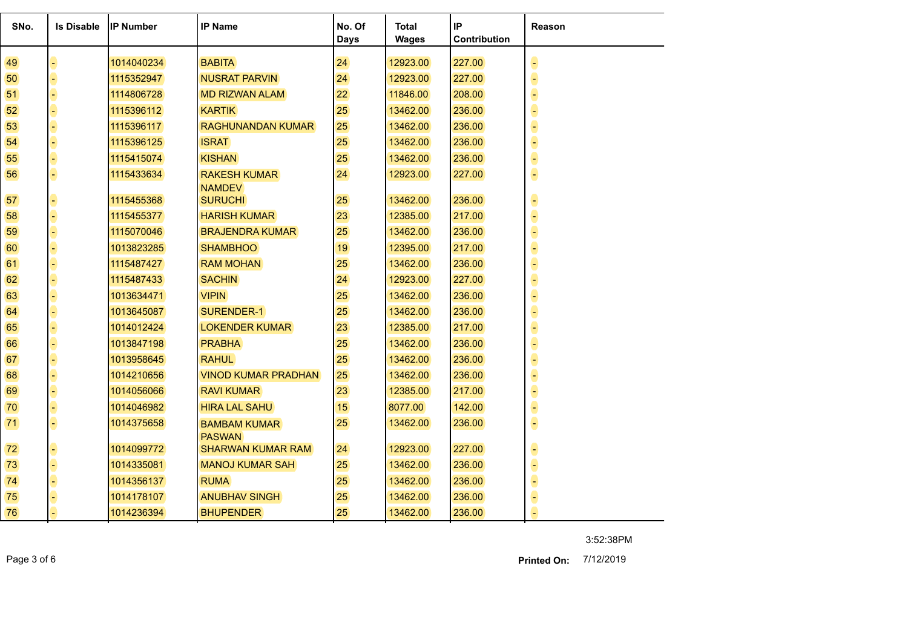| SNo. | <b>Is Disable</b> | <b>IP Number</b> | <b>IP Name</b>                       | No. Of<br><b>Days</b> | <b>Total</b><br><b>Wages</b> | IP<br>Contribution | Reason |
|------|-------------------|------------------|--------------------------------------|-----------------------|------------------------------|--------------------|--------|
| 49   |                   | 1014040234       | <b>BABITA</b>                        | 24                    | 12923.00                     | 227.00             |        |
| 50   |                   | 1115352947       | <b>NUSRAT PARVIN</b>                 | 24                    | 12923.00                     | 227.00             |        |
| 51   |                   | 1114806728       | <b>MD RIZWAN ALAM</b>                | 22                    | 11846.00                     | 208.00             |        |
|      |                   |                  |                                      |                       |                              |                    |        |
| 52   |                   | 1115396112       | <b>KARTIK</b>                        | 25                    | 13462.00                     | 236.00             |        |
| 53   |                   | 1115396117       | <b>RAGHUNANDAN KUMAR</b>             | 25                    | 13462.00                     | 236.00             |        |
| 54   |                   | 1115396125       | <b>ISRAT</b>                         | 25                    | 13462.00                     | 236.00             |        |
| 55   | q                 | 1115415074       | <b>KISHAN</b>                        | 25                    | 13462.00                     | 236.00             |        |
| 56   | ۳                 | 1115433634       | <b>RAKESH KUMAR</b>                  | 24                    | 12923.00                     | 227.00             |        |
|      |                   |                  | <b>NAMDEV</b>                        | 25                    |                              | 236.00             |        |
| 57   | ÷,                | 1115455368       | <b>SURUCHI</b>                       |                       | 13462.00                     |                    |        |
| 58   |                   | 1115455377       | <b>HARISH KUMAR</b>                  | 23                    | 12385.00                     | 217.00             |        |
| 59   |                   | 1115070046       | <b>BRAJENDRA KUMAR</b>               | 25                    | 13462.00                     | 236.00             |        |
| 60   |                   | 1013823285       | <b>SHAMBHOO</b>                      | 19                    | 12395.00                     | 217.00             |        |
| 61   |                   | 1115487427       | <b>RAM MOHAN</b>                     | 25                    | 13462.00                     | 236.00             |        |
| 62   |                   | 1115487433       | <b>SACHIN</b>                        | 24                    | 12923.00                     | 227.00             |        |
| 63   |                   | 1013634471       | <b>VIPIN</b>                         | 25                    | 13462.00                     | 236.00             |        |
| 64   |                   | 1013645087       | SURENDER-1                           | 25                    | 13462.00                     | 236.00             |        |
| 65   |                   | 1014012424       | <b>LOKENDER KUMAR</b>                | 23                    | 12385.00                     | 217.00             |        |
| 66   |                   | 1013847198       | <b>PRABHA</b>                        | 25                    | 13462.00                     | 236.00             |        |
| 67   |                   | 1013958645       | <b>RAHUL</b>                         | 25                    | 13462.00                     | 236.00             |        |
| 68   | F)                | 1014210656       | <b>VINOD KUMAR PRADHAN</b>           | 25                    | 13462.00                     | 236.00             |        |
| 69   |                   | 1014056066       | <b>RAVI KUMAR</b>                    | 23                    | 12385.00                     | 217.00             |        |
| 70   | F)                | 1014046982       | <b>HIRA LAL SAHU</b>                 | 15                    | 8077.00                      | 142.00             |        |
| 71   | ٩                 | 1014375658       | <b>BAMBAM KUMAR</b><br><b>PASWAN</b> | 25                    | 13462.00                     | 236.00             |        |
| 72   |                   | 1014099772       | <b>SHARWAN KUMAR RAM</b>             | 24                    | 12923.00                     | 227.00             |        |
| 73   | υ                 | 1014335081       | <b>MANOJ KUMAR SAH</b>               | 25                    | 13462.00                     | 236.00             |        |
| 74   |                   | 1014356137       | <b>RUMA</b>                          | 25                    | 13462.00                     | 236.00             |        |
| 75   |                   | 1014178107       | <b>ANUBHAV SINGH</b>                 | 25                    | 13462.00                     | 236.00             |        |
| 76   |                   | 1014236394       | <b>BHUPENDER</b>                     | 25                    | 13462.00                     | 236.00             |        |

Page 3 of 6 7/12/2019 **Printed On:**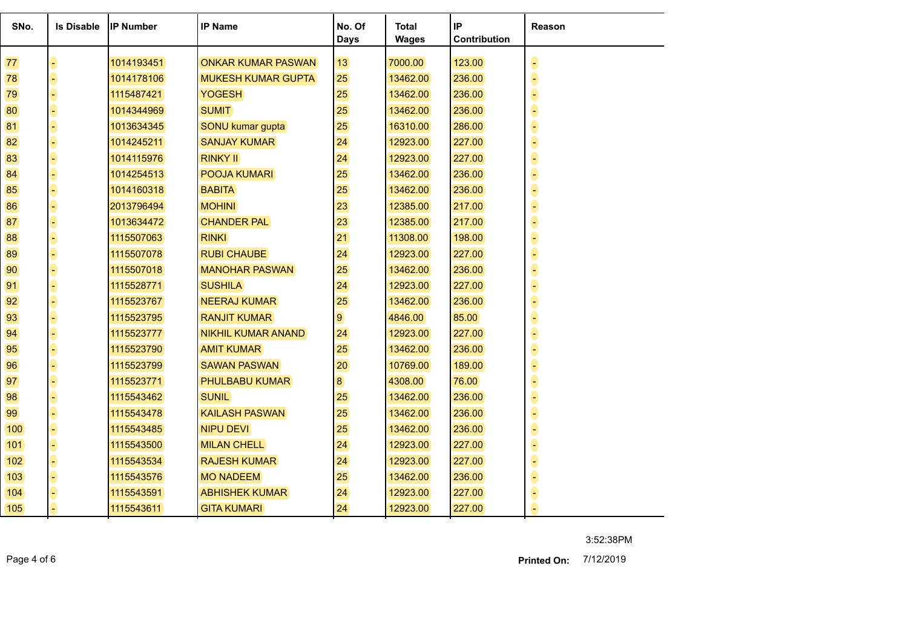| SNo. | <b>Is Disable</b> | <b>IP Number</b> | <b>IP Name</b>            | No. Of<br><b>Days</b> | <b>Total</b><br><b>Wages</b> | IP<br>Contribution | Reason |
|------|-------------------|------------------|---------------------------|-----------------------|------------------------------|--------------------|--------|
| 77   |                   | 1014193451       | <b>ONKAR KUMAR PASWAN</b> | 13                    | 7000.00                      | 123.00             |        |
| 78   |                   | 1014178106       | <b>MUKESH KUMAR GUPTA</b> | 25                    | 13462.00                     | 236.00             |        |
| 79   |                   | 1115487421       | <b>YOGESH</b>             | 25                    | 13462.00                     | 236.00             |        |
| 80   |                   | 1014344969       | <b>SUMIT</b>              | 25                    | 13462.00                     | 236.00             |        |
| 81   |                   | 1013634345       | SONU kumar gupta          | 25                    | 16310.00                     | 286.00             |        |
| 82   |                   | 1014245211       | <b>SANJAY KUMAR</b>       | 24                    | 12923.00                     | 227.00             |        |
| 83   |                   | 1014115976       | <b>RINKY II</b>           | 24                    | 12923.00                     | 227.00             |        |
| 84   |                   | 1014254513       | POOJA KUMARI              | 25                    | 13462.00                     | 236.00             |        |
| 85   |                   | 1014160318       | <b>BABITA</b>             | 25                    | 13462.00                     | 236.00             |        |
| 86   |                   | 2013796494       | <b>MOHINI</b>             | 23                    | 12385.00                     | 217.00             |        |
| 87   |                   | 1013634472       | <b>CHANDER PAL</b>        | 23                    | 12385.00                     | 217.00             |        |
| 88   |                   | 1115507063       | <b>RINKI</b>              | 21                    | 11308.00                     | 198.00             |        |
| 89   |                   | 1115507078       | <b>RUBI CHAUBE</b>        | 24                    | 12923.00                     | 227.00             |        |
| 90   |                   | 1115507018       | <b>MANOHAR PASWAN</b>     | 25                    | 13462.00                     | 236.00             |        |
| 91   |                   | 1115528771       | <b>SUSHILA</b>            | 24                    | 12923.00                     | 227.00             |        |
| 92   |                   | 1115523767       | <b>NEERAJ KUMAR</b>       | 25                    | 13462.00                     | 236.00             |        |
| 93   |                   | 1115523795       | <b>RANJIT KUMAR</b>       | 9                     | 4846.00                      | 85.00              |        |
| 94   |                   | 1115523777       | <b>NIKHIL KUMAR ANAND</b> | 24                    | 12923.00                     | 227.00             |        |
| 95   |                   | 1115523790       | <b>AMIT KUMAR</b>         | 25                    | 13462.00                     | 236.00             |        |
| 96   |                   | 1115523799       | <b>SAWAN PASWAN</b>       | 20                    | 10769.00                     | 189.00             |        |
| 97   |                   | 1115523771       | <b>PHULBABU KUMAR</b>     | 8                     | 4308.00                      | 76.00              |        |
| 98   |                   | 1115543462       | <b>SUNIL</b>              | 25                    | 13462.00                     | 236.00             |        |
| 99   |                   | 1115543478       | <b>KAILASH PASWAN</b>     | 25                    | 13462.00                     | 236.00             |        |
| 100  |                   | 1115543485       | <b>NIPU DEVI</b>          | 25                    | 13462.00                     | 236.00             |        |
| 101  |                   | 1115543500       | <b>MILAN CHELL</b>        | 24                    | 12923.00                     | 227.00             |        |
| 102  |                   | 1115543534       | <b>RAJESH KUMAR</b>       | 24                    | 12923.00                     | 227.00             |        |
| 103  |                   | 1115543576       | <b>MO NADEEM</b>          | 25                    | 13462.00                     | 236.00             |        |
| 104  |                   | 1115543591       | <b>ABHISHEK KUMAR</b>     | 24                    | 12923.00                     | 227.00             |        |
| 105  |                   | 1115543611       | <b>GITA KUMARI</b>        | 24                    | 12923.00                     | 227.00             |        |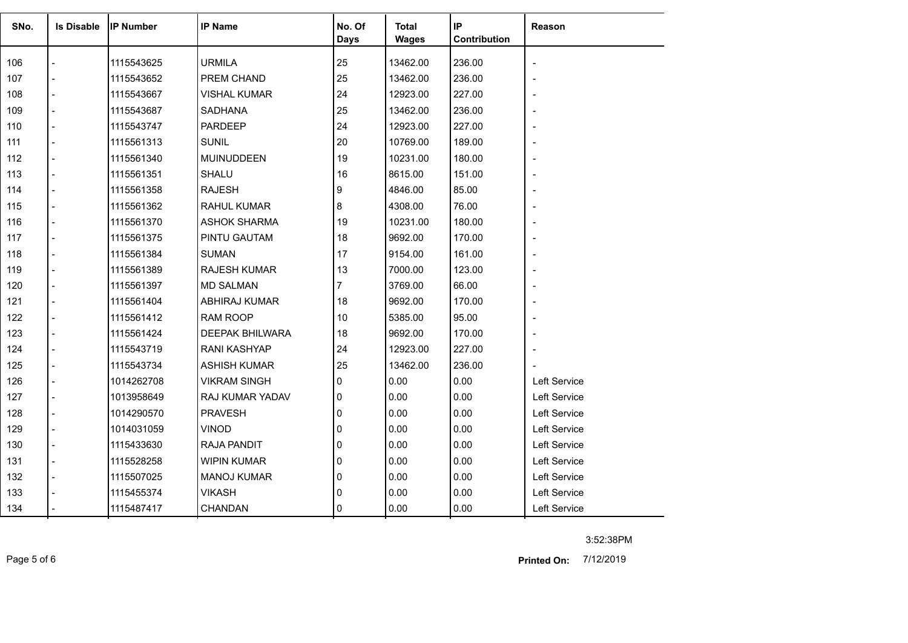| SNo. | <b>Is Disable</b> | <b>IP Number</b> | <b>IP Name</b>         | No. Of         | <b>Total</b> | IP           | Reason       |
|------|-------------------|------------------|------------------------|----------------|--------------|--------------|--------------|
|      |                   |                  |                        | <b>Days</b>    | <b>Wages</b> | Contribution |              |
|      |                   |                  |                        |                |              |              |              |
| 106  |                   | 1115543625       | <b>URMILA</b>          | 25             | 13462.00     | 236.00       |              |
| 107  |                   | 1115543652       | PREM CHAND             | 25             | 13462.00     | 236.00       |              |
| 108  |                   | 1115543667       | <b>VISHAL KUMAR</b>    | 24             | 12923.00     | 227.00       |              |
| 109  | $\overline{a}$    | 1115543687       | <b>SADHANA</b>         | 25             | 13462.00     | 236.00       |              |
| 110  | $\blacksquare$    | 1115543747       | <b>PARDEEP</b>         | 24             | 12923.00     | 227.00       |              |
| 111  |                   | 1115561313       | <b>SUNIL</b>           | 20             | 10769.00     | 189.00       |              |
| 112  | $\overline{a}$    | 1115561340       | <b>MUINUDDEEN</b>      | 19             | 10231.00     | 180.00       |              |
| 113  | $\overline{a}$    | 1115561351       | SHALU                  | 16             | 8615.00      | 151.00       |              |
| 114  |                   | 1115561358       | <b>RAJESH</b>          | 9              | 4846.00      | 85.00        |              |
| 115  | $\overline{a}$    | 1115561362       | <b>RAHUL KUMAR</b>     | 8              | 4308.00      | 76.00        |              |
| 116  | $\overline{a}$    | 1115561370       | <b>ASHOK SHARMA</b>    | 19             | 10231.00     | 180.00       |              |
| 117  |                   | 1115561375       | PINTU GAUTAM           | 18             | 9692.00      | 170.00       |              |
| 118  | $\overline{a}$    | 1115561384       | <b>SUMAN</b>           | 17             | 9154.00      | 161.00       |              |
| 119  | $\blacksquare$    | 1115561389       | <b>RAJESH KUMAR</b>    | 13             | 7000.00      | 123.00       |              |
| 120  |                   | 1115561397       | <b>MD SALMAN</b>       | $\overline{7}$ | 3769.00      | 66.00        |              |
| 121  | $\overline{a}$    | 1115561404       | ABHIRAJ KUMAR          | 18             | 9692.00      | 170.00       |              |
| 122  | $\overline{a}$    | 1115561412       | RAM ROOP               | 10             | 5385.00      | 95.00        |              |
| 123  |                   | 1115561424       | <b>DEEPAK BHILWARA</b> | 18             | 9692.00      | 170.00       |              |
| 124  | $\overline{a}$    | 1115543719       | <b>RANI KASHYAP</b>    | 24             | 12923.00     | 227.00       |              |
| 125  | $\overline{a}$    | 1115543734       | <b>ASHISH KUMAR</b>    | 25             | 13462.00     | 236.00       |              |
| 126  |                   | 1014262708       | <b>VIKRAM SINGH</b>    | 0              | 0.00         | 0.00         | Left Service |
| 127  | $\blacksquare$    | 1013958649       | RAJ KUMAR YADAV        | 0              | 0.00         | 0.00         | Left Service |
| 128  |                   | 1014290570       | <b>PRAVESH</b>         | 0              | 0.00         | 0.00         | Left Service |
| 129  | $\overline{a}$    | 1014031059       | <b>VINOD</b>           | 0              | 0.00         | 0.00         | Left Service |
| 130  | $\blacksquare$    | 1115433630       | RAJA PANDIT            | 0              | 0.00         | 0.00         | Left Service |
| 131  | $\overline{a}$    | 1115528258       | <b>WIPIN KUMAR</b>     | 0              | 0.00         | 0.00         | Left Service |
| 132  |                   | 1115507025       | <b>MANOJ KUMAR</b>     | 0              | 0.00         | 0.00         | Left Service |
| 133  |                   | 1115455374       | <b>VIKASH</b>          | 0              | 0.00         | 0.00         | Left Service |
| 134  |                   | 1115487417       | CHANDAN                | 0              | 0.00         | 0.00         | Left Service |